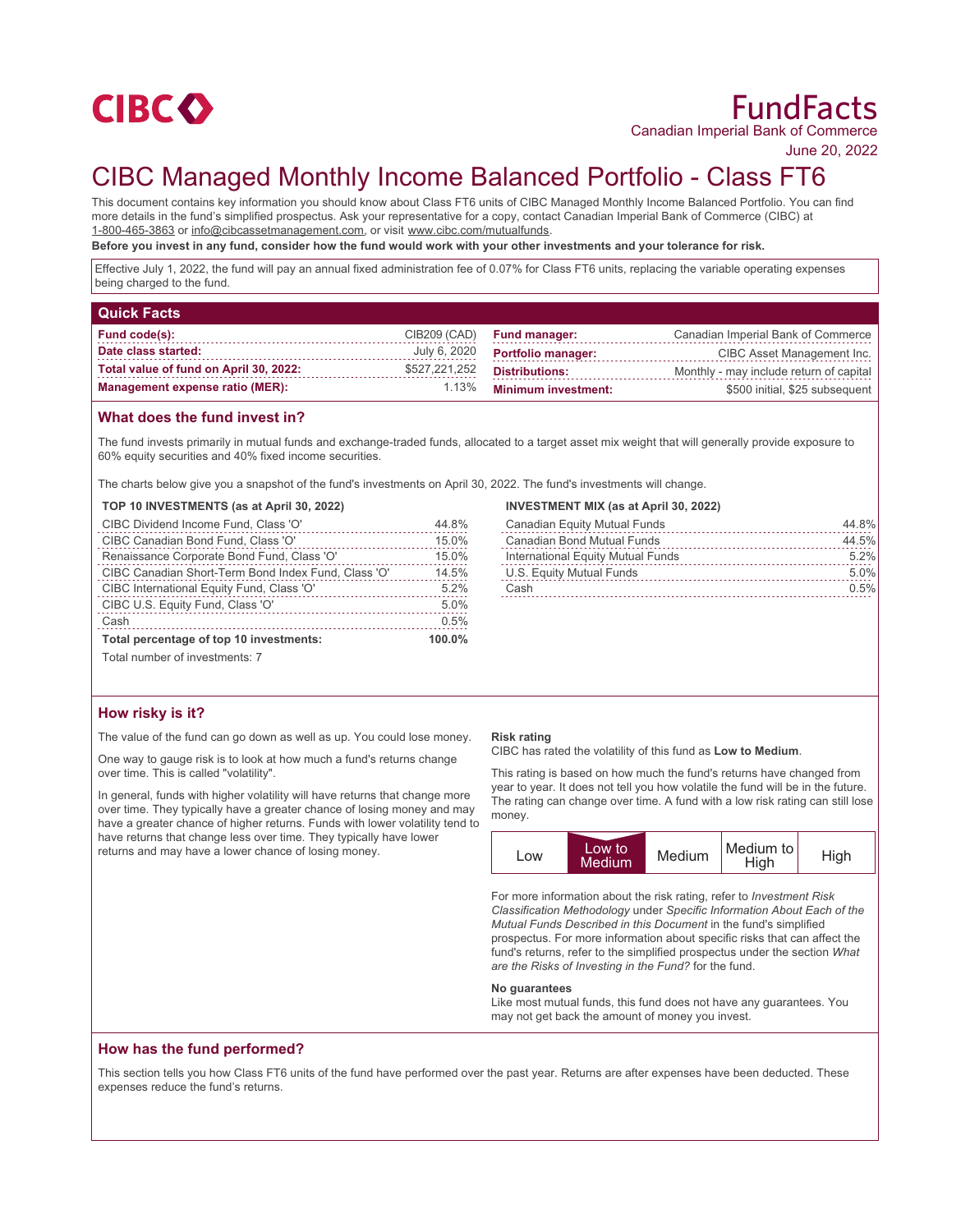

# FundFacts Canadian Imperial Bank of Commerce

June 20, 2022

# CIBC Managed Monthly Income Balanced Portfolio - Class FT6

This document contains key information you should know about Class FT6 units of CIBC Managed Monthly Income Balanced Portfolio. You can find more details in the fund's simplified prospectus. Ask your representative for a copy, contact Canadian Imperial Bank of Commerce (CIBC) at 1-800-465-3863 or info@cibcassetmanagement.com, or visit www.cibc.com/mutualfunds.

**Before you invest in any fund, consider how the fund would work with your other investments and your tolerance for risk.**

Effective July 1, 2022, the fund will pay an annual fixed administration fee of 0.07% for Class FT6 units, replacing the variable operating expenses being charged to the fund.

| <b>Quick Facts</b>                     |               |                            |                                         |
|----------------------------------------|---------------|----------------------------|-----------------------------------------|
| Fund code(s):                          | CIB209 (CAD)  | <b>Fund manager:</b>       | Canadian Imperial Bank of Commerce      |
| Date class started:                    | July 6, 2020  | <b>Portfolio manager:</b>  | CIBC Asset Management Inc.              |
| Total value of fund on April 30, 2022: | \$527,221,252 | <b>Distributions:</b>      | Monthly - may include return of capital |
| <b>Management expense ratio (MER):</b> | 1.13%         | <b>Minimum investment:</b> | \$500 initial, \$25 subsequent          |

## **What does the fund invest in?**

The fund invests primarily in mutual funds and exchange-traded funds, allocated to a target asset mix weight that will generally provide exposure to 60% equity securities and 40% fixed income securities.

The charts below give you a snapshot of the fund's investments on April 30, 2022. The fund's investments will change.

## **TOP 10 INVESTMENTS (as at April 30, 2022)**

| CIBC Dividend Income Fund, Class 'O'                | 44.8%     |
|-----------------------------------------------------|-----------|
| CIBC Canadian Bond Fund, Class 'O'                  | 15.0%     |
| Renaissance Corporate Bond Fund, Class 'O'          | 15.0%     |
| CIBC Canadian Short-Term Bond Index Fund, Class 'O' | 14.5%     |
| CIBC International Equity Fund, Class 'O'           | 5.2%      |
| CIBC U.S. Equity Fund, Class 'O'                    | 5.0%      |
| Cash                                                | 0.5%      |
| Total percentage of top 10 investments:             | $100.0\%$ |

### **INVESTMENT MIX (as at April 30, 2022)**

| Canadian Equity Mutual Funds      | 44.8% |
|-----------------------------------|-------|
| Canadian Bond Mutual Funds        | 44.5% |
| International Equity Mutual Funds | 5.2%  |
| U.S. Equity Mutual Funds          | 5.0%  |
| Cash                              | 0.5%  |
|                                   |       |

Total number of investments: 7

# **How risky is it?**

The value of the fund can go down as well as up. You could lose money.

One way to gauge risk is to look at how much a fund's returns change over time. This is called "volatility".

In general, funds with higher volatility will have returns that change more over time. They typically have a greater chance of losing money and may have a greater chance of higher returns. Funds with lower volatility tend to have returns that change less over time. They typically have lower returns and may have a lower chance of losing money.

#### **Risk rating**

CIBC has rated the volatility of this fund as **Low to Medium**.

This rating is based on how much the fund's returns have changed from year to year. It does not tell you how volatile the fund will be in the future. The rating can change over time. A fund with a low risk rating can still lose money.



For more information about the risk rating, refer to *Investment Risk Classification Methodology* under *Specific Information About Each of the Mutual Funds Described in this Document* in the fund's simplified prospectus. For more information about specific risks that can affect the fund's returns, refer to the simplified prospectus under the section *What are the Risks of Investing in the Fund?* for the fund.

#### **No guarantees**

Like most mutual funds, this fund does not have any guarantees. You may not get back the amount of money you invest.

# **How has the fund performed?**

This section tells you how Class FT6 units of the fund have performed over the past year. Returns are after expenses have been deducted. These expenses reduce the fund's returns.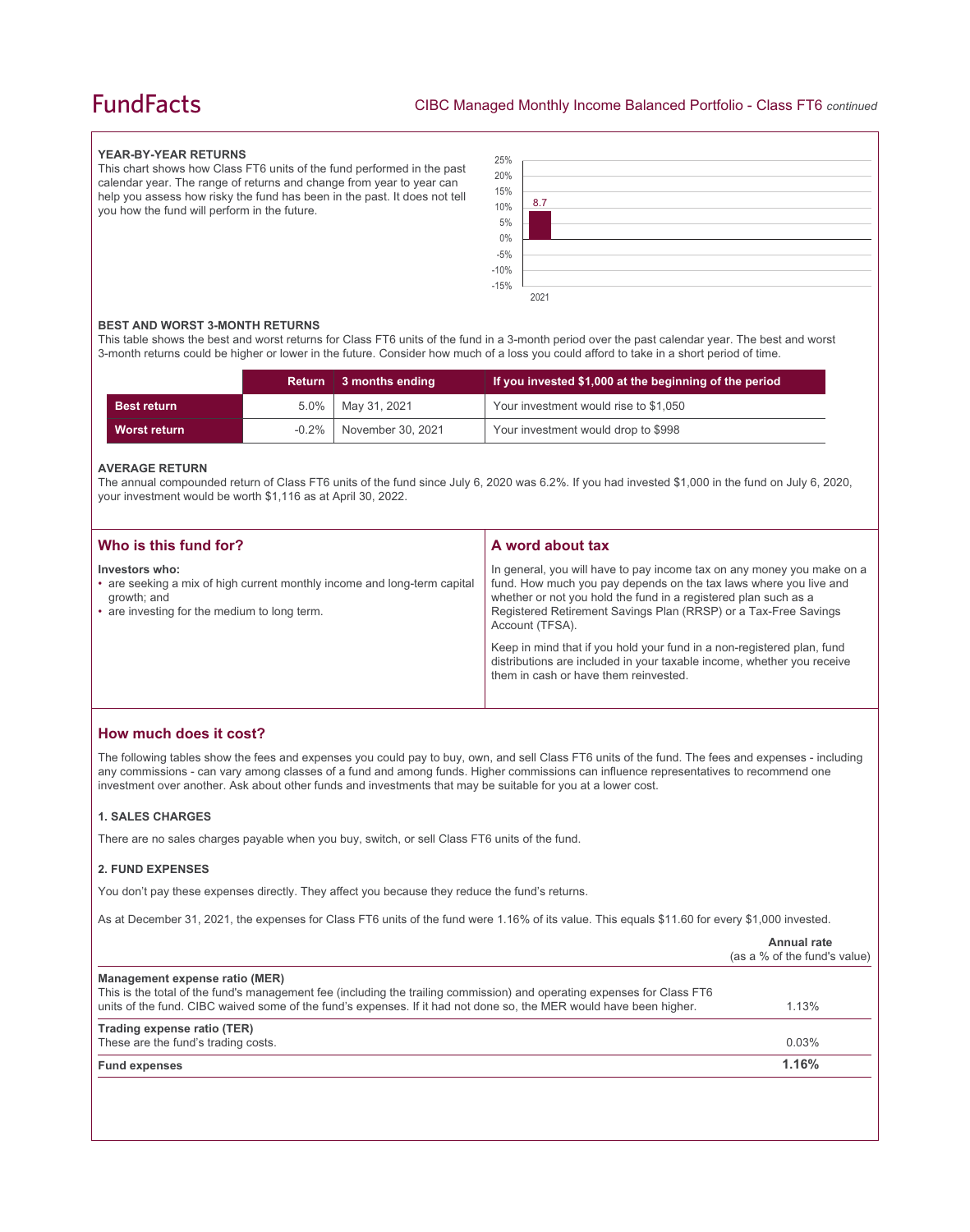# **FundFacts**

### **YEAR-BY-YEAR RETURNS**

This chart shows how Class FT6 units of the fund performed in the past calendar year. The range of returns and change from year to year can help you assess how risky the fund has been in the past. It does not tell you how the fund will perform in the future.



### **BEST AND WORST 3-MONTH RETURNS**

This table shows the best and worst returns for Class FT6 units of the fund in a 3-month period over the past calendar year. The best and worst 3-month returns could be higher or lower in the future. Consider how much of a loss you could afford to take in a short period of time.

|                    |          | Return 3 months ending | If you invested \$1,000 at the beginning of the period |
|--------------------|----------|------------------------|--------------------------------------------------------|
| <b>Best return</b> |          | $5.0\%$   May 31, 2021 | Your investment would rise to \$1,050                  |
| Worst return       | $-0.2\%$ | November 30, 2021      | Your investment would drop to \$998                    |

### **AVERAGE RETURN**

The annual compounded return of Class FT6 units of the fund since July 6, 2020 was 6.2%. If you had invested \$1,000 in the fund on July 6, 2020, your investment would be worth \$1,116 as at April 30, 2022.

| Who is this fund for?                                                                                                                                     | A word about tax                                                                                                                                                                                                                                                                                     |
|-----------------------------------------------------------------------------------------------------------------------------------------------------------|------------------------------------------------------------------------------------------------------------------------------------------------------------------------------------------------------------------------------------------------------------------------------------------------------|
| Investors who:<br>• are seeking a mix of high current monthly income and long-term capital<br>growth; and<br>• are investing for the medium to long term. | In general, you will have to pay income tax on any money you make on a<br>fund. How much you pay depends on the tax laws where you live and<br>whether or not you hold the fund in a registered plan such as a<br>Registered Retirement Savings Plan (RRSP) or a Tax-Free Savings<br>Account (TFSA). |
|                                                                                                                                                           | Keep in mind that if you hold your fund in a non-registered plan, fund<br>distributions are included in your taxable income, whether you receive<br>them in cash or have them reinvested.                                                                                                            |

# **How much does it cost?**

The following tables show the fees and expenses you could pay to buy, own, and sell Class FT6 units of the fund. The fees and expenses - including any commissions - can vary among classes of a fund and among funds. Higher commissions can influence representatives to recommend one investment over another. Ask about other funds and investments that may be suitable for you at a lower cost.

### **1. SALES CHARGES**

There are no sales charges payable when you buy, switch, or sell Class FT6 units of the fund.

### **2. FUND EXPENSES**

You don't pay these expenses directly. They affect you because they reduce the fund's returns.

As at December 31, 2021, the expenses for Class FT6 units of the fund were 1.16% of its value. This equals \$11.60 for every \$1,000 invested.

|                                                                                                                                                                                                                                                                                 | Annual rate<br>(as a % of the fund's value) |
|---------------------------------------------------------------------------------------------------------------------------------------------------------------------------------------------------------------------------------------------------------------------------------|---------------------------------------------|
| Management expense ratio (MER)<br>This is the total of the fund's management fee (including the trailing commission) and operating expenses for Class FT6<br>units of the fund. CIBC waived some of the fund's expenses. If it had not done so, the MER would have been higher. | 1.13%                                       |
| Trading expense ratio (TER)<br>These are the fund's trading costs.                                                                                                                                                                                                              | 0.03%                                       |
| <b>Fund expenses</b>                                                                                                                                                                                                                                                            | 1.16%                                       |